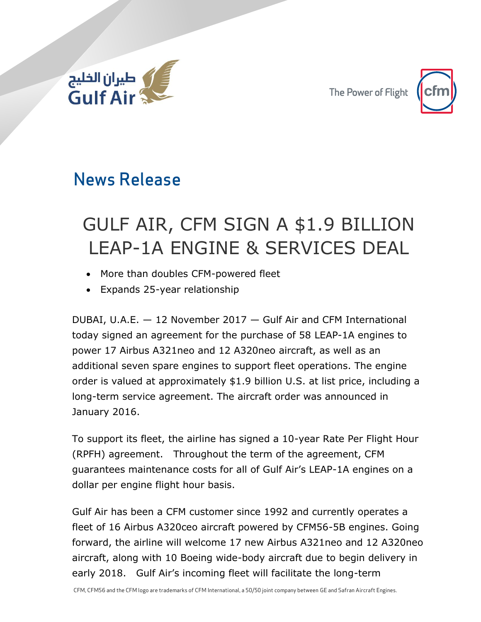

The Power of Flight



# News Release

# GULF AIR, CFM SIGN A \$1.9 BILLION LEAP-1A ENGINE & SERVICES DEAL

- More than doubles CFM-powered fleet
- Expands 25-year relationship

DUBAI, U.A.E. — 12 November 2017 — Gulf Air and CFM International today signed an agreement for the purchase of 58 LEAP-1A engines to power 17 Airbus A321neo and 12 A320neo aircraft, as well as an additional seven spare engines to support fleet operations. The engine order is valued at approximately \$1.9 billion U.S. at list price, including a long-term service agreement. The aircraft order was announced in January 2016.

To support its fleet, the airline has signed a 10-year Rate Per Flight Hour (RPFH) agreement. Throughout the term of the agreement, CFM guarantees maintenance costs for all of Gulf Air's LEAP-1A engines on a dollar per engine flight hour basis.

Gulf Air has been a CFM customer since 1992 and currently operates a fleet of 16 Airbus A320ceo aircraft powered by CFM56-5B engines. Going forward, the airline will welcome 17 new Airbus A321neo and 12 A320neo aircraft, along with 10 Boeing wide-body aircraft due to begin delivery in early 2018. Gulf Air's incoming fleet will facilitate the long-term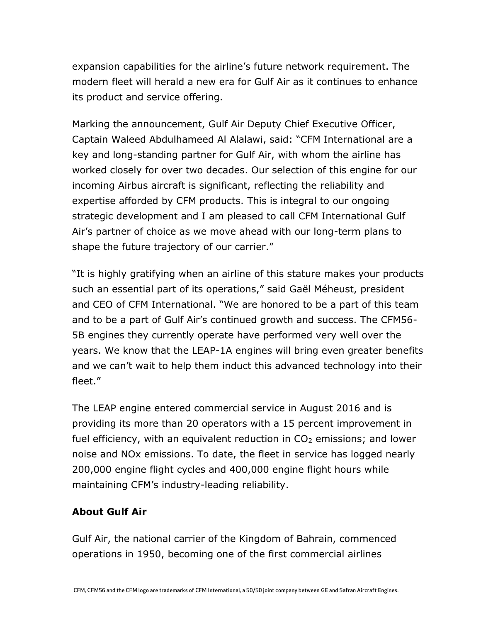expansion capabilities for the airline's future network requirement. The modern fleet will herald a new era for Gulf Air as it continues to enhance its product and service offering.

Marking the announcement, Gulf Air Deputy Chief Executive Officer, Captain Waleed Abdulhameed Al Alalawi, said: "CFM International are a key and long-standing partner for Gulf Air, with whom the airline has worked closely for over two decades. Our selection of this engine for our incoming Airbus aircraft is significant, reflecting the reliability and expertise afforded by CFM products. This is integral to our ongoing strategic development and I am pleased to call CFM International Gulf Air's partner of choice as we move ahead with our long-term plans to shape the future trajectory of our carrier."

"It is highly gratifying when an airline of this stature makes your products such an essential part of its operations," said Gaël Méheust, president and CEO of CFM International. "We are honored to be a part of this team and to be a part of Gulf Air's continued growth and success. The CFM56- 5B engines they currently operate have performed very well over the years. We know that the LEAP-1A engines will bring even greater benefits and we can't wait to help them induct this advanced technology into their fleet."

The LEAP engine entered commercial service in August 2016 and is providing its more than 20 operators with a 15 percent improvement in fuel efficiency, with an equivalent reduction in  $CO<sub>2</sub>$  emissions; and lower noise and NOx emissions. To date, the fleet in service has logged nearly 200,000 engine flight cycles and 400,000 engine flight hours while maintaining CFM's industry-leading reliability.

## **About Gulf Air**

Gulf Air, the national carrier of the Kingdom of Bahrain, commenced operations in 1950, becoming one of the first commercial airlines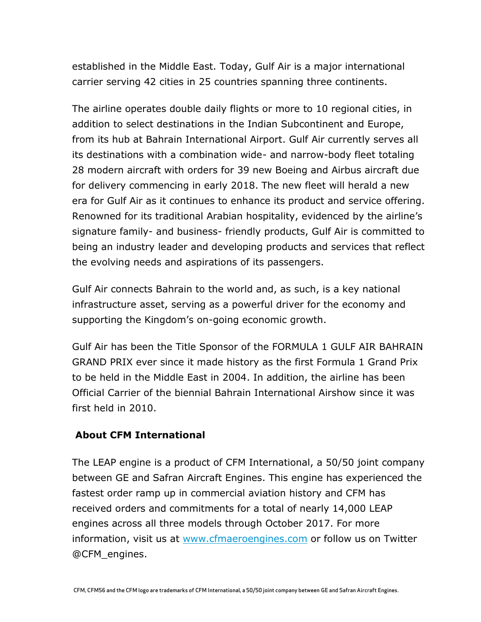established in the Middle East. Today, Gulf Air is a major international carrier serving 42 cities in 25 countries spanning three continents.

The airline operates double daily flights or more to 10 regional cities, in addition to select destinations in the Indian Subcontinent and Europe, from its hub at Bahrain International Airport. Gulf Air currently serves all its destinations with a combination wide- and narrow-body fleet totaling 28 modern aircraft with orders for 39 new Boeing and Airbus aircraft due for delivery commencing in early 2018. The new fleet will herald a new era for Gulf Air as it continues to enhance its product and service offering. Renowned for its traditional Arabian hospitality, evidenced by the airline's signature family- and business- friendly products, Gulf Air is committed to being an industry leader and developing products and services that reflect the evolving needs and aspirations of its passengers.

Gulf Air connects Bahrain to the world and, as such, is a key national infrastructure asset, serving as a powerful driver for the economy and supporting the Kingdom's on-going economic growth.

Gulf Air has been the Title Sponsor of the FORMULA 1 GULF AIR BAHRAIN GRAND PRIX ever since it made history as the first Formula 1 Grand Prix to be held in the Middle East in 2004. In addition, the airline has been Official Carrier of the biennial Bahrain International Airshow since it was first held in 2010.

### **About CFM International**

The LEAP engine is a product of CFM International, a 50/50 joint company between GE and Safran Aircraft Engines. This engine has experienced the fastest order ramp up in commercial aviation history and CFM has received orders and commitments for a total of nearly 14,000 LEAP engines across all three models through October 2017. For more information, visit us at [www.cfmaeroengines.com](https://cfmaeroengines.us13.list-manage.com/track/click?u=d58c68f6526f40505635c1579&id=626cb394fb&e=c66ed1170f) or follow us on Twitter @CFM\_engines.